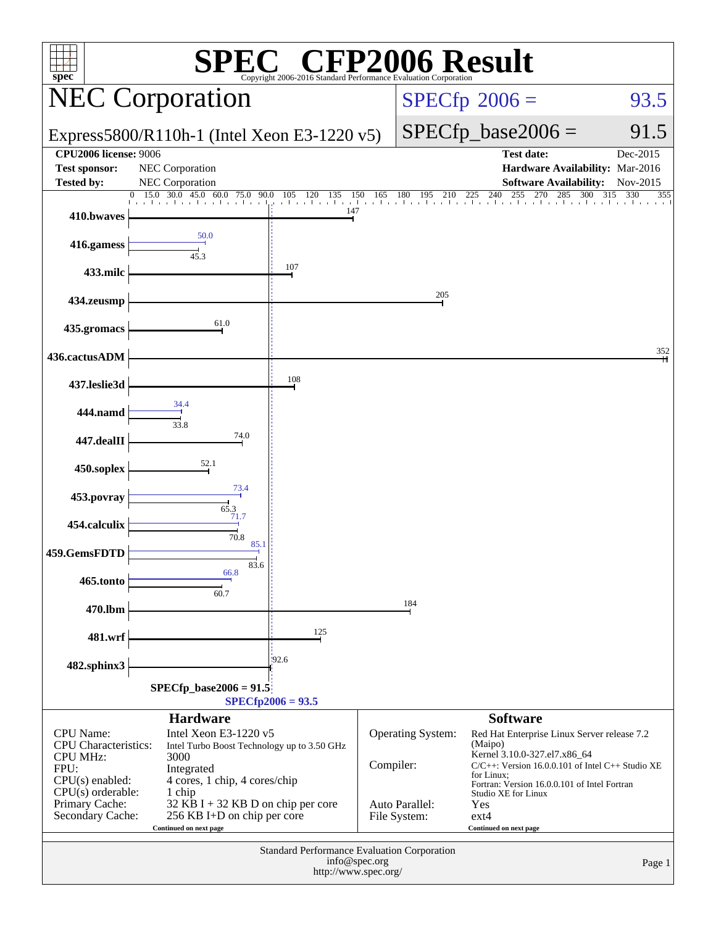| <b>CFP2006 Result</b><br>$spec^*$<br>Copyright 2006-2016 Standard Performance Evaluation Corporation                   |                                                                                                                                       |                                                    |               |                                |                                                                                                                                                                                                                                      |                   |  |
|------------------------------------------------------------------------------------------------------------------------|---------------------------------------------------------------------------------------------------------------------------------------|----------------------------------------------------|---------------|--------------------------------|--------------------------------------------------------------------------------------------------------------------------------------------------------------------------------------------------------------------------------------|-------------------|--|
|                                                                                                                        | <b>NEC Corporation</b>                                                                                                                |                                                    |               | $SPECfp^{\circ}2006 =$         | 93.5                                                                                                                                                                                                                                 |                   |  |
|                                                                                                                        | Express5800/R110h-1 (Intel Xeon E3-1220 v5)                                                                                           |                                                    |               |                                | $SPECfp\_base2006 =$                                                                                                                                                                                                                 | 91.5              |  |
| <b>CPU2006 license: 9006</b>                                                                                           |                                                                                                                                       |                                                    |               |                                | <b>Test date:</b>                                                                                                                                                                                                                    | Dec-2015          |  |
| <b>Test sponsor:</b><br><b>Tested by:</b>                                                                              | NEC Corporation<br>NEC Corporation                                                                                                    |                                                    |               |                                | Hardware Availability: Mar-2016<br><b>Software Availability:</b>                                                                                                                                                                     | Nov-2015          |  |
|                                                                                                                        | 30.0 45.0<br>15.0<br>60.0 75.0<br>90.0<br>and the con-                                                                                | 120<br>135<br>150<br>105<br>a basala a basala      | 165           | 180<br>195<br>210              | 240<br>255<br>270<br>285<br>300<br>225<br>a baileacha a baileacha a baileacha a baileacha a bailea                                                                                                                                   | 315<br>330<br>355 |  |
| 410.bwaves                                                                                                             |                                                                                                                                       | 147                                                |               |                                |                                                                                                                                                                                                                                      |                   |  |
| 416.gamess                                                                                                             | 50.0<br>45.3                                                                                                                          |                                                    |               |                                |                                                                                                                                                                                                                                      |                   |  |
| 433.milc                                                                                                               |                                                                                                                                       | 107                                                |               |                                |                                                                                                                                                                                                                                      |                   |  |
| 434.zeusmp                                                                                                             |                                                                                                                                       |                                                    |               | 205                            |                                                                                                                                                                                                                                      |                   |  |
| 435.gromacs                                                                                                            | 61.0                                                                                                                                  |                                                    |               |                                |                                                                                                                                                                                                                                      |                   |  |
| 436.cactusADM                                                                                                          |                                                                                                                                       |                                                    |               |                                |                                                                                                                                                                                                                                      | 352               |  |
| 437.leslie3d                                                                                                           |                                                                                                                                       | 108                                                |               |                                |                                                                                                                                                                                                                                      |                   |  |
| 444.namd                                                                                                               | 34.4<br>33.8                                                                                                                          |                                                    |               |                                |                                                                                                                                                                                                                                      |                   |  |
| 447.dealII                                                                                                             | 74.0                                                                                                                                  |                                                    |               |                                |                                                                                                                                                                                                                                      |                   |  |
| 450.soplex                                                                                                             | 52.1                                                                                                                                  |                                                    |               |                                |                                                                                                                                                                                                                                      |                   |  |
| 453.povray                                                                                                             | 73.4<br>65.3                                                                                                                          |                                                    |               |                                |                                                                                                                                                                                                                                      |                   |  |
| 454.calculix                                                                                                           | 71.7<br>70.8                                                                                                                          |                                                    |               |                                |                                                                                                                                                                                                                                      |                   |  |
| 459.GemsFDTD                                                                                                           | 85.1<br>83.6<br>66.8                                                                                                                  |                                                    |               |                                |                                                                                                                                                                                                                                      |                   |  |
| 465.tonto                                                                                                              | 60.7                                                                                                                                  |                                                    |               |                                |                                                                                                                                                                                                                                      |                   |  |
| 470.lbm                                                                                                                |                                                                                                                                       |                                                    |               | 184                            |                                                                                                                                                                                                                                      |                   |  |
| 481.wrf                                                                                                                |                                                                                                                                       | 125                                                |               |                                |                                                                                                                                                                                                                                      |                   |  |
| 482.sphinx3                                                                                                            |                                                                                                                                       | 192.6                                              |               |                                |                                                                                                                                                                                                                                      |                   |  |
|                                                                                                                        | $SPECfp\_base2006 = 91.5$                                                                                                             | $SPECfp2006 = 93.5$                                |               |                                |                                                                                                                                                                                                                                      |                   |  |
|                                                                                                                        | <b>Hardware</b>                                                                                                                       |                                                    |               |                                | <b>Software</b>                                                                                                                                                                                                                      |                   |  |
| <b>CPU</b> Name:<br><b>CPU</b> Characteristics:<br><b>CPU MHz:</b><br>FPU:<br>$CPU(s)$ enabled:<br>$CPU(s)$ orderable: | Intel Xeon E3-1220 v5<br>Intel Turbo Boost Technology up to 3.50 GHz<br>3000<br>Integrated<br>4 cores, 1 chip, 4 cores/chip<br>1 chip |                                                    | Compiler:     | <b>Operating System:</b>       | Red Hat Enterprise Linux Server release 7.2<br>(Maipo)<br>Kernel 3.10.0-327.el7.x86_64<br>$C/C++$ : Version 16.0.0.101 of Intel $C++$ Studio XE<br>for Linux;<br>Fortran: Version 16.0.0.101 of Intel Fortran<br>Studio XE for Linux |                   |  |
| Primary Cache:<br>Secondary Cache:                                                                                     | 32 KB I + 32 KB D on chip per core<br>256 KB I+D on chip per core<br>Continued on next page                                           |                                                    |               | Auto Parallel:<br>File System: | Yes<br>$ext{4}$<br>Continued on next page                                                                                                                                                                                            |                   |  |
|                                                                                                                        |                                                                                                                                       | <b>Standard Performance Evaluation Corporation</b> | info@spec.org |                                |                                                                                                                                                                                                                                      | Page 1            |  |
|                                                                                                                        |                                                                                                                                       | http://www.spec.org/                               |               |                                |                                                                                                                                                                                                                                      |                   |  |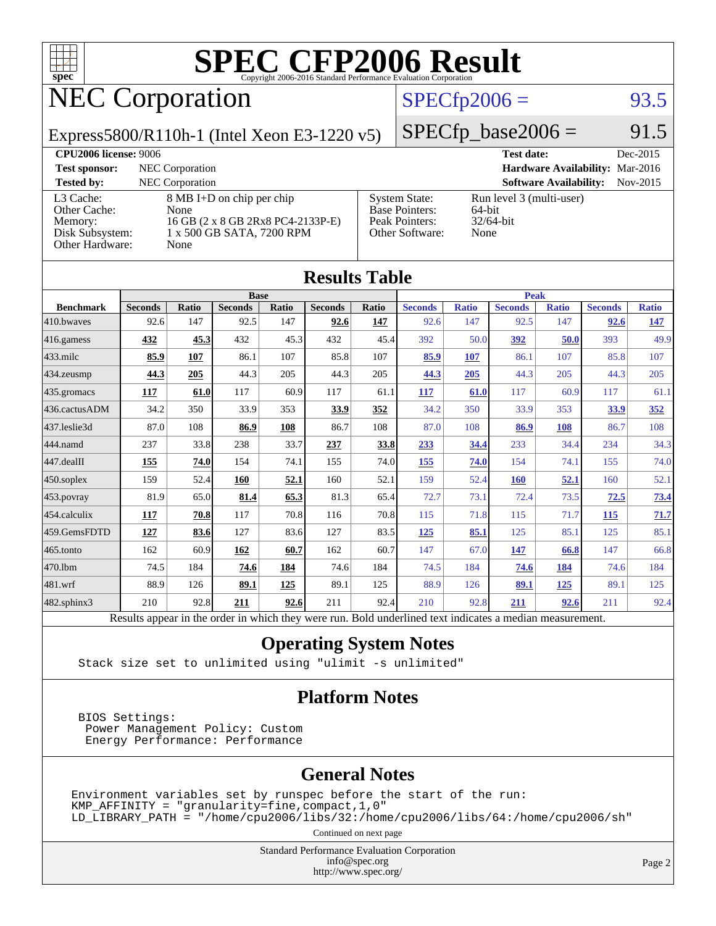

# NEC Corporation

### $SPECTp2006 = 93.5$

Express5800/R110h-1 (Intel Xeon E3-1220 v5)

 $SPECfp\_base2006 = 91.5$ 

| <b>CPU2006 license: 9006</b>                                               |                                                                                                             |                                                                                    | <b>Test date:</b>                                          | Dec-2015   |
|----------------------------------------------------------------------------|-------------------------------------------------------------------------------------------------------------|------------------------------------------------------------------------------------|------------------------------------------------------------|------------|
| <b>Test sponsor:</b>                                                       | NEC Corporation                                                                                             |                                                                                    | Hardware Availability: Mar-2016                            |            |
| <b>Tested by:</b>                                                          | NEC Corporation                                                                                             |                                                                                    | <b>Software Availability:</b>                              | $Nov-2015$ |
| L3 Cache:<br>Other Cache:<br>Memory:<br>Disk Subsystem:<br>Other Hardware: | 8 MB I+D on chip per chip<br>None<br>16 GB (2 x 8 GB 2Rx8 PC4-2133P-E)<br>1 x 500 GB SATA, 7200 RPM<br>None | <b>System State:</b><br><b>Base Pointers:</b><br>Peak Pointers:<br>Other Software: | Run level 3 (multi-user)<br>64-bit<br>$32/64$ -bit<br>None |            |

**[Results Table](http://www.spec.org/auto/cpu2006/Docs/result-fields.html#ResultsTable)**

| Results i adie    |                                                                                                          |              |                |       |                |       |                |              |                |              |                |              |
|-------------------|----------------------------------------------------------------------------------------------------------|--------------|----------------|-------|----------------|-------|----------------|--------------|----------------|--------------|----------------|--------------|
|                   | <b>Base</b>                                                                                              |              |                |       |                | Peak  |                |              |                |              |                |              |
| <b>Benchmark</b>  | <b>Seconds</b>                                                                                           | <b>Ratio</b> | <b>Seconds</b> | Ratio | <b>Seconds</b> | Ratio | <b>Seconds</b> | <b>Ratio</b> | <b>Seconds</b> | <b>Ratio</b> | <b>Seconds</b> | <b>Ratio</b> |
| 410.bwaves        | 92.6                                                                                                     | 147          | 92.5           | 147   | 92.6           | 147   | 92.6           | 147          | 92.5           | 147          | 92.6           | <u>147</u>   |
| 416.gamess        | 432                                                                                                      | 45.3         | 432            | 45.3  | 432            | 45.4  | 392            | 50.0         | 392            | 50.0         | 393            | 49.9         |
| $433$ .milc       | 85.9                                                                                                     | 107          | 86.1           | 107   | 85.8           | 107   | 85.9           | 107          | 86.1           | 107          | 85.8           | 107          |
| 434.zeusmp        | 44.3                                                                                                     | 205          | 44.3           | 205   | 44.3           | 205   | 44.3           | 205          | 44.3           | 205          | 44.3           | 205          |
| 435 gromacs       | 117                                                                                                      | 61.0         | 117            | 60.9  | 117            | 61.1  | 117            | 61.0         | 117            | 60.9         | 117            | 61.1         |
| 436.cactusADM     | 34.2                                                                                                     | 350          | 33.9           | 353   | 33.9           | 352   | 34.2           | 350          | 33.9           | 353          | 33.9           | 352          |
| 437.leslie3d      | 87.0                                                                                                     | 108          | 86.9           | 108   | 86.7           | 108   | 87.0           | 108          | 86.9           | 108          | 86.7           | 108          |
| 444.namd          | 237                                                                                                      | 33.8         | 238            | 33.7  | 237            | 33.8  | 233            | 34.4         | 233            | 34.4         | 234            | 34.3         |
| 447.dealII        | 155                                                                                                      | 74.0         | 154            | 74.1  | 155            | 74.0  | 155            | 74.0         | 154            | 74.1         | 155            | 74.0         |
| $450$ .soplex     | 159                                                                                                      | 52.4         | 160            | 52.1  | 160            | 52.1  | 159            | 52.4         | 160            | 52.1         | 160            | 52.1         |
| 453.povray        | 81.9                                                                                                     | 65.0         | 81.4           | 65.3  | 81.3           | 65.4  | 72.7           | 73.1         | 72.4           | 73.5         | 72.5           | 73.4         |
| 454.calculix      | 117                                                                                                      | 70.8         | 117            | 70.8  | 116            | 70.8  | 115            | 71.8         | 115            | 71.7         | <b>115</b>     | 71.7         |
| 459.GemsFDTD      | 127                                                                                                      | 83.6         | 127            | 83.6  | 127            | 83.5  | 125            | 85.1         | 125            | 85.1         | 125            | 85.1         |
| 465.tonto         | 162                                                                                                      | 60.9         | 162            | 60.7  | 162            | 60.7  | 147            | 67.0         | <u>147</u>     | 66.8         | 147            | 66.8         |
| 470.1bm           | 74.5                                                                                                     | 184          | 74.6           | 184   | 74.6           | 184   | 74.5           | 184          | 74.6           | 184          | 74.6           | 184          |
| 481.wrf           | 88.9                                                                                                     | 126          | 89.1           | 125   | 89.1           | 125   | 88.9           | 126          | 89.1           | <u>125</u>   | 89.1           | 125          |
| $482$ .sphinx $3$ | 210                                                                                                      | 92.8         | 211            | 92.6  | 211            | 92.4  | 210            | 92.8         | 211            | 92.6         | 211            | 92.4         |
|                   | Results appear in the order in which they were run. Bold underlined text indicates a median measurement. |              |                |       |                |       |                |              |                |              |                |              |

#### **[Operating System Notes](http://www.spec.org/auto/cpu2006/Docs/result-fields.html#OperatingSystemNotes)**

Stack size set to unlimited using "ulimit -s unlimited"

#### **[Platform Notes](http://www.spec.org/auto/cpu2006/Docs/result-fields.html#PlatformNotes)**

 BIOS Settings: Power Management Policy: Custom Energy Performance: Performance

### **[General Notes](http://www.spec.org/auto/cpu2006/Docs/result-fields.html#GeneralNotes)**

Environment variables set by runspec before the start of the run:  $KMP_A$ FFINITY = "granularity=fine, compact, 1, 0" LD\_LIBRARY\_PATH = "/home/cpu2006/libs/32:/home/cpu2006/libs/64:/home/cpu2006/sh"

Continued on next page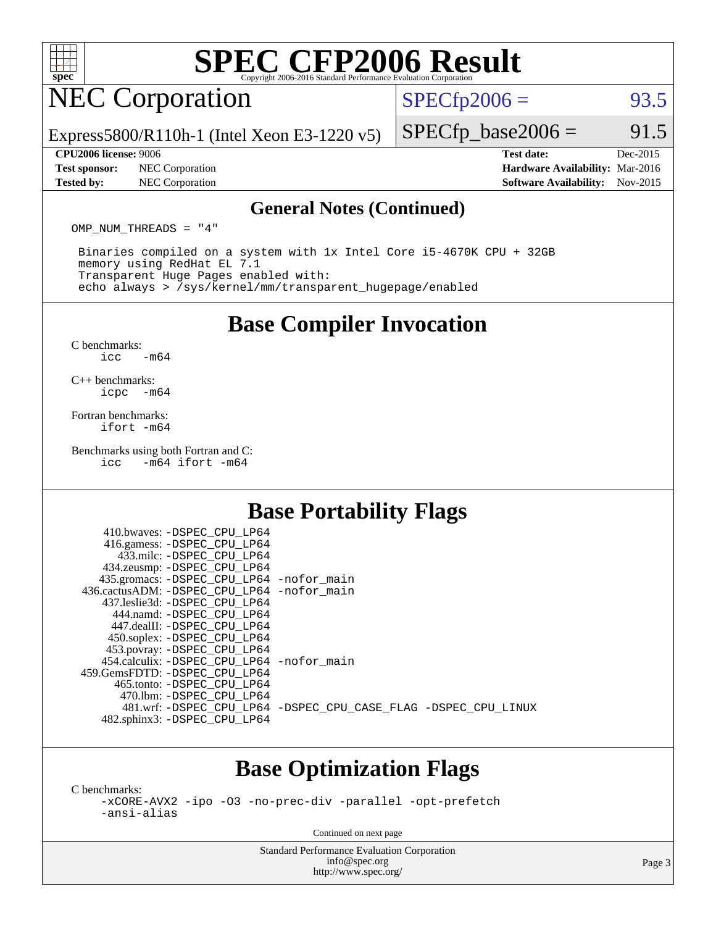

# NEC Corporation

 $SPECTp2006 = 93.5$ 

Express5800/R110h-1 (Intel Xeon E3-1220 v5)

#### **[CPU2006 license:](http://www.spec.org/auto/cpu2006/Docs/result-fields.html#CPU2006license)** 9006 **[Test date:](http://www.spec.org/auto/cpu2006/Docs/result-fields.html#Testdate)** Dec-2015

**[Test sponsor:](http://www.spec.org/auto/cpu2006/Docs/result-fields.html#Testsponsor)** NEC Corporation **[Hardware Availability:](http://www.spec.org/auto/cpu2006/Docs/result-fields.html#HardwareAvailability)** Mar-2016

 $SPECTp\_base2006 = 91.5$ 

**[Tested by:](http://www.spec.org/auto/cpu2006/Docs/result-fields.html#Testedby)** NEC Corporation **[Software Availability:](http://www.spec.org/auto/cpu2006/Docs/result-fields.html#SoftwareAvailability)** Nov-2015

#### **[General Notes \(Continued\)](http://www.spec.org/auto/cpu2006/Docs/result-fields.html#GeneralNotes)**

OMP\_NUM\_THREADS = "4"

 Binaries compiled on a system with 1x Intel Core i5-4670K CPU + 32GB memory using RedHat EL 7.1 Transparent Huge Pages enabled with: echo always > /sys/kernel/mm/transparent\_hugepage/enabled

### **[Base Compiler Invocation](http://www.spec.org/auto/cpu2006/Docs/result-fields.html#BaseCompilerInvocation)**

[C benchmarks](http://www.spec.org/auto/cpu2006/Docs/result-fields.html#Cbenchmarks):  $\text{icc}$   $-\text{m64}$ 

[C++ benchmarks:](http://www.spec.org/auto/cpu2006/Docs/result-fields.html#CXXbenchmarks) [icpc -m64](http://www.spec.org/cpu2006/results/res2016q1/cpu2006-20160125-38800.flags.html#user_CXXbase_intel_icpc_64bit_bedb90c1146cab66620883ef4f41a67e)

[Fortran benchmarks](http://www.spec.org/auto/cpu2006/Docs/result-fields.html#Fortranbenchmarks): [ifort -m64](http://www.spec.org/cpu2006/results/res2016q1/cpu2006-20160125-38800.flags.html#user_FCbase_intel_ifort_64bit_ee9d0fb25645d0210d97eb0527dcc06e)

[Benchmarks using both Fortran and C](http://www.spec.org/auto/cpu2006/Docs/result-fields.html#BenchmarksusingbothFortranandC):<br>icc -m64 ifort -m64  $-m64$  ifort  $-m64$ 

## **[Base Portability Flags](http://www.spec.org/auto/cpu2006/Docs/result-fields.html#BasePortabilityFlags)**

| 410.bwaves: -DSPEC CPU LP64<br>416.gamess: -DSPEC_CPU_LP64 |                                                                |
|------------------------------------------------------------|----------------------------------------------------------------|
| 433.milc: -DSPEC CPU LP64                                  |                                                                |
| 434.zeusmp: - DSPEC_CPU_LP64                               |                                                                |
| 435.gromacs: -DSPEC_CPU_LP64 -nofor_main                   |                                                                |
| 436.cactusADM: - DSPEC CPU LP64 - nofor main               |                                                                |
| 437.leslie3d: -DSPEC CPU LP64                              |                                                                |
| 444.namd: - DSPEC CPU LP64                                 |                                                                |
| 447.dealII: -DSPEC CPU LP64                                |                                                                |
| 450.soplex: -DSPEC_CPU_LP64                                |                                                                |
| 453.povray: -DSPEC_CPU_LP64                                |                                                                |
| 454.calculix: - DSPEC CPU LP64 - nofor main                |                                                                |
| 459. GemsFDTD: - DSPEC CPU LP64                            |                                                                |
| 465.tonto: - DSPEC CPU LP64                                |                                                                |
| 470.1bm: - DSPEC CPU LP64                                  |                                                                |
|                                                            | 481.wrf: -DSPEC_CPU_LP64 -DSPEC_CPU_CASE_FLAG -DSPEC_CPU_LINUX |
| 482.sphinx3: -DSPEC_CPU_LP64                               |                                                                |
|                                                            |                                                                |

### **[Base Optimization Flags](http://www.spec.org/auto/cpu2006/Docs/result-fields.html#BaseOptimizationFlags)**

[C benchmarks](http://www.spec.org/auto/cpu2006/Docs/result-fields.html#Cbenchmarks): [-xCORE-AVX2](http://www.spec.org/cpu2006/results/res2016q1/cpu2006-20160125-38800.flags.html#user_CCbase_f-xAVX2_5f5fc0cbe2c9f62c816d3e45806c70d7) [-ipo](http://www.spec.org/cpu2006/results/res2016q1/cpu2006-20160125-38800.flags.html#user_CCbase_f-ipo) [-O3](http://www.spec.org/cpu2006/results/res2016q1/cpu2006-20160125-38800.flags.html#user_CCbase_f-O3) [-no-prec-div](http://www.spec.org/cpu2006/results/res2016q1/cpu2006-20160125-38800.flags.html#user_CCbase_f-no-prec-div) [-parallel](http://www.spec.org/cpu2006/results/res2016q1/cpu2006-20160125-38800.flags.html#user_CCbase_f-parallel) [-opt-prefetch](http://www.spec.org/cpu2006/results/res2016q1/cpu2006-20160125-38800.flags.html#user_CCbase_f-opt-prefetch) [-ansi-alias](http://www.spec.org/cpu2006/results/res2016q1/cpu2006-20160125-38800.flags.html#user_CCbase_f-ansi-alias)

Continued on next page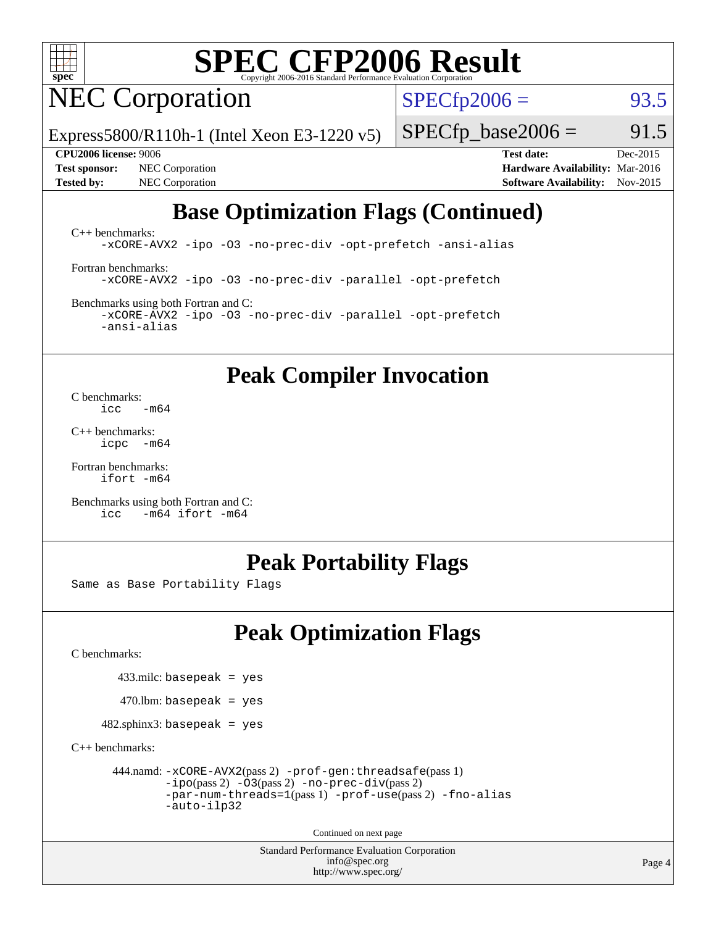

# NEC Corporation

 $SPECTp2006 = 93.5$ 

Express5800/R110h-1 (Intel Xeon E3-1220 v5)

**[Test sponsor:](http://www.spec.org/auto/cpu2006/Docs/result-fields.html#Testsponsor)** NEC Corporation **[Hardware Availability:](http://www.spec.org/auto/cpu2006/Docs/result-fields.html#HardwareAvailability)** Mar-2016 **[Tested by:](http://www.spec.org/auto/cpu2006/Docs/result-fields.html#Testedby)** NEC Corporation **[Software Availability:](http://www.spec.org/auto/cpu2006/Docs/result-fields.html#SoftwareAvailability)** Nov-2015

 $SPECTp\_base2006 = 91.5$ 

**[CPU2006 license:](http://www.spec.org/auto/cpu2006/Docs/result-fields.html#CPU2006license)** 9006 **[Test date:](http://www.spec.org/auto/cpu2006/Docs/result-fields.html#Testdate)** Dec-2015

# **[Base Optimization Flags \(Continued\)](http://www.spec.org/auto/cpu2006/Docs/result-fields.html#BaseOptimizationFlags)**

[C++ benchmarks:](http://www.spec.org/auto/cpu2006/Docs/result-fields.html#CXXbenchmarks) [-xCORE-AVX2](http://www.spec.org/cpu2006/results/res2016q1/cpu2006-20160125-38800.flags.html#user_CXXbase_f-xAVX2_5f5fc0cbe2c9f62c816d3e45806c70d7) [-ipo](http://www.spec.org/cpu2006/results/res2016q1/cpu2006-20160125-38800.flags.html#user_CXXbase_f-ipo) [-O3](http://www.spec.org/cpu2006/results/res2016q1/cpu2006-20160125-38800.flags.html#user_CXXbase_f-O3) [-no-prec-div](http://www.spec.org/cpu2006/results/res2016q1/cpu2006-20160125-38800.flags.html#user_CXXbase_f-no-prec-div) [-opt-prefetch](http://www.spec.org/cpu2006/results/res2016q1/cpu2006-20160125-38800.flags.html#user_CXXbase_f-opt-prefetch) [-ansi-alias](http://www.spec.org/cpu2006/results/res2016q1/cpu2006-20160125-38800.flags.html#user_CXXbase_f-ansi-alias)

[Fortran benchmarks](http://www.spec.org/auto/cpu2006/Docs/result-fields.html#Fortranbenchmarks): [-xCORE-AVX2](http://www.spec.org/cpu2006/results/res2016q1/cpu2006-20160125-38800.flags.html#user_FCbase_f-xAVX2_5f5fc0cbe2c9f62c816d3e45806c70d7) [-ipo](http://www.spec.org/cpu2006/results/res2016q1/cpu2006-20160125-38800.flags.html#user_FCbase_f-ipo) [-O3](http://www.spec.org/cpu2006/results/res2016q1/cpu2006-20160125-38800.flags.html#user_FCbase_f-O3) [-no-prec-div](http://www.spec.org/cpu2006/results/res2016q1/cpu2006-20160125-38800.flags.html#user_FCbase_f-no-prec-div) [-parallel](http://www.spec.org/cpu2006/results/res2016q1/cpu2006-20160125-38800.flags.html#user_FCbase_f-parallel) [-opt-prefetch](http://www.spec.org/cpu2006/results/res2016q1/cpu2006-20160125-38800.flags.html#user_FCbase_f-opt-prefetch)

[Benchmarks using both Fortran and C](http://www.spec.org/auto/cpu2006/Docs/result-fields.html#BenchmarksusingbothFortranandC): [-xCORE-AVX2](http://www.spec.org/cpu2006/results/res2016q1/cpu2006-20160125-38800.flags.html#user_CC_FCbase_f-xAVX2_5f5fc0cbe2c9f62c816d3e45806c70d7) [-ipo](http://www.spec.org/cpu2006/results/res2016q1/cpu2006-20160125-38800.flags.html#user_CC_FCbase_f-ipo) [-O3](http://www.spec.org/cpu2006/results/res2016q1/cpu2006-20160125-38800.flags.html#user_CC_FCbase_f-O3) [-no-prec-div](http://www.spec.org/cpu2006/results/res2016q1/cpu2006-20160125-38800.flags.html#user_CC_FCbase_f-no-prec-div) [-parallel](http://www.spec.org/cpu2006/results/res2016q1/cpu2006-20160125-38800.flags.html#user_CC_FCbase_f-parallel) [-opt-prefetch](http://www.spec.org/cpu2006/results/res2016q1/cpu2006-20160125-38800.flags.html#user_CC_FCbase_f-opt-prefetch) [-ansi-alias](http://www.spec.org/cpu2006/results/res2016q1/cpu2006-20160125-38800.flags.html#user_CC_FCbase_f-ansi-alias)

**[Peak Compiler Invocation](http://www.spec.org/auto/cpu2006/Docs/result-fields.html#PeakCompilerInvocation)**

[C benchmarks](http://www.spec.org/auto/cpu2006/Docs/result-fields.html#Cbenchmarks):  $\text{icc}$   $-\text{m64}$ 

[C++ benchmarks:](http://www.spec.org/auto/cpu2006/Docs/result-fields.html#CXXbenchmarks) [icpc -m64](http://www.spec.org/cpu2006/results/res2016q1/cpu2006-20160125-38800.flags.html#user_CXXpeak_intel_icpc_64bit_bedb90c1146cab66620883ef4f41a67e)

[Fortran benchmarks](http://www.spec.org/auto/cpu2006/Docs/result-fields.html#Fortranbenchmarks): [ifort -m64](http://www.spec.org/cpu2006/results/res2016q1/cpu2006-20160125-38800.flags.html#user_FCpeak_intel_ifort_64bit_ee9d0fb25645d0210d97eb0527dcc06e)

[Benchmarks using both Fortran and C](http://www.spec.org/auto/cpu2006/Docs/result-fields.html#BenchmarksusingbothFortranandC): [icc -m64](http://www.spec.org/cpu2006/results/res2016q1/cpu2006-20160125-38800.flags.html#user_CC_FCpeak_intel_icc_64bit_0b7121f5ab7cfabee23d88897260401c) [ifort -m64](http://www.spec.org/cpu2006/results/res2016q1/cpu2006-20160125-38800.flags.html#user_CC_FCpeak_intel_ifort_64bit_ee9d0fb25645d0210d97eb0527dcc06e)

### **[Peak Portability Flags](http://www.spec.org/auto/cpu2006/Docs/result-fields.html#PeakPortabilityFlags)**

Same as Base Portability Flags

# **[Peak Optimization Flags](http://www.spec.org/auto/cpu2006/Docs/result-fields.html#PeakOptimizationFlags)**

[C benchmarks](http://www.spec.org/auto/cpu2006/Docs/result-fields.html#Cbenchmarks):

 $433$ .milc: basepeak = yes

 $470$ .lbm: basepeak = yes

 $482$ .sphinx3: basepeak = yes

[C++ benchmarks:](http://www.spec.org/auto/cpu2006/Docs/result-fields.html#CXXbenchmarks)

```
 444.namd: -xCORE-AVX2(pass 2) -prof-gen:threadsafe(pass 1)
-ipo(pass 2) -O3(pass 2) -no-prec-div(pass 2)
-par-num-threads=1(pass 1) -prof-use(pass 2) -fno-alias
-auto-ilp32
```
Continued on next page

Standard Performance Evaluation Corporation [info@spec.org](mailto:info@spec.org) <http://www.spec.org/>

Page 4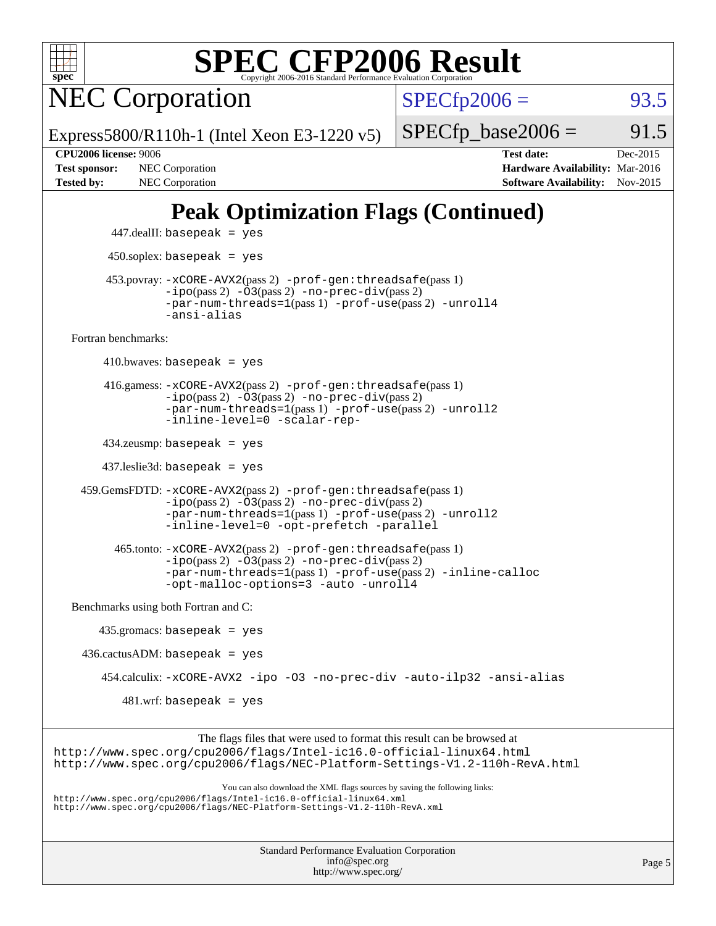

NEC Corporation

 $SPECTp2006 = 93.5$ 

Express5800/R110h-1 (Intel Xeon E3-1220 v5)

 $SPECTp\_base2006 = 91.5$ **[CPU2006 license:](http://www.spec.org/auto/cpu2006/Docs/result-fields.html#CPU2006license)** 9006 **[Test date:](http://www.spec.org/auto/cpu2006/Docs/result-fields.html#Testdate)** Dec-2015

#### **[Test sponsor:](http://www.spec.org/auto/cpu2006/Docs/result-fields.html#Testsponsor)** NEC Corporation **NEC Corporation [Hardware Availability:](http://www.spec.org/auto/cpu2006/Docs/result-fields.html#HardwareAvailability)** Mar-2016 [Tested by:](http://www.spec.org/auto/cpu2006/Docs/result-fields.html#Testedby) NEC Corporation **[Software Availability:](http://www.spec.org/auto/cpu2006/Docs/result-fields.html#SoftwareAvailability)** Nov-2015

# **[Peak Optimization Flags \(Continued\)](http://www.spec.org/auto/cpu2006/Docs/result-fields.html#PeakOptimizationFlags)**

 $447$ .dealII: basepeak = yes 450.soplex: basepeak = yes 453.povray: [-xCORE-AVX2](http://www.spec.org/cpu2006/results/res2016q1/cpu2006-20160125-38800.flags.html#user_peakPASS2_CXXFLAGSPASS2_LDFLAGS453_povray_f-xAVX2_5f5fc0cbe2c9f62c816d3e45806c70d7)(pass 2) [-prof-gen:threadsafe](http://www.spec.org/cpu2006/results/res2016q1/cpu2006-20160125-38800.flags.html#user_peakPASS1_CXXFLAGSPASS1_LDFLAGS453_povray_prof_gen_21a26eb79f378b550acd7bec9fe4467a)(pass 1)  $-i\text{po}(pass 2) -03(pass 2) -no-prec-div(pass 2)$  $-i\text{po}(pass 2) -03(pass 2) -no-prec-div(pass 2)$  $-i\text{po}(pass 2) -03(pass 2) -no-prec-div(pass 2)$ [-par-num-threads=1](http://www.spec.org/cpu2006/results/res2016q1/cpu2006-20160125-38800.flags.html#user_peakPASS1_CXXFLAGSPASS1_LDFLAGS453_povray_par_num_threads_786a6ff141b4e9e90432e998842df6c2)(pass 1) [-prof-use](http://www.spec.org/cpu2006/results/res2016q1/cpu2006-20160125-38800.flags.html#user_peakPASS2_CXXFLAGSPASS2_LDFLAGS453_povray_prof_use_bccf7792157ff70d64e32fe3e1250b55)(pass 2) [-unroll4](http://www.spec.org/cpu2006/results/res2016q1/cpu2006-20160125-38800.flags.html#user_peakCXXOPTIMIZE453_povray_f-unroll_4e5e4ed65b7fd20bdcd365bec371b81f) [-ansi-alias](http://www.spec.org/cpu2006/results/res2016q1/cpu2006-20160125-38800.flags.html#user_peakCXXOPTIMIZE453_povray_f-ansi-alias) [Fortran benchmarks](http://www.spec.org/auto/cpu2006/Docs/result-fields.html#Fortranbenchmarks):  $410.bwaves: basepeak = yes$  416.gamess: [-xCORE-AVX2](http://www.spec.org/cpu2006/results/res2016q1/cpu2006-20160125-38800.flags.html#user_peakPASS2_FFLAGSPASS2_LDFLAGS416_gamess_f-xAVX2_5f5fc0cbe2c9f62c816d3e45806c70d7)(pass 2) [-prof-gen:threadsafe](http://www.spec.org/cpu2006/results/res2016q1/cpu2006-20160125-38800.flags.html#user_peakPASS1_FFLAGSPASS1_LDFLAGS416_gamess_prof_gen_21a26eb79f378b550acd7bec9fe4467a)(pass 1)  $-i\text{po}(pass 2) -03(pass 2) -no-prec-div(pass 2)$  $-i\text{po}(pass 2) -03(pass 2) -no-prec-div(pass 2)$  $-i\text{po}(pass 2) -03(pass 2) -no-prec-div(pass 2)$ [-par-num-threads=1](http://www.spec.org/cpu2006/results/res2016q1/cpu2006-20160125-38800.flags.html#user_peakPASS1_FFLAGSPASS1_LDFLAGS416_gamess_par_num_threads_786a6ff141b4e9e90432e998842df6c2)(pass 1) [-prof-use](http://www.spec.org/cpu2006/results/res2016q1/cpu2006-20160125-38800.flags.html#user_peakPASS2_FFLAGSPASS2_LDFLAGS416_gamess_prof_use_bccf7792157ff70d64e32fe3e1250b55)(pass 2) [-unroll2](http://www.spec.org/cpu2006/results/res2016q1/cpu2006-20160125-38800.flags.html#user_peakOPTIMIZE416_gamess_f-unroll_784dae83bebfb236979b41d2422d7ec2) [-inline-level=0](http://www.spec.org/cpu2006/results/res2016q1/cpu2006-20160125-38800.flags.html#user_peakOPTIMIZE416_gamess_f-inline-level_318d07a09274ad25e8d15dbfaa68ba50) [-scalar-rep-](http://www.spec.org/cpu2006/results/res2016q1/cpu2006-20160125-38800.flags.html#user_peakOPTIMIZE416_gamess_f-disablescalarrep_abbcad04450fb118e4809c81d83c8a1d) 434.zeusmp: basepeak = yes 437.leslie3d: basepeak = yes 459.GemsFDTD: [-xCORE-AVX2](http://www.spec.org/cpu2006/results/res2016q1/cpu2006-20160125-38800.flags.html#user_peakPASS2_FFLAGSPASS2_LDFLAGS459_GemsFDTD_f-xAVX2_5f5fc0cbe2c9f62c816d3e45806c70d7)(pass 2) [-prof-gen:threadsafe](http://www.spec.org/cpu2006/results/res2016q1/cpu2006-20160125-38800.flags.html#user_peakPASS1_FFLAGSPASS1_LDFLAGS459_GemsFDTD_prof_gen_21a26eb79f378b550acd7bec9fe4467a)(pass 1)  $-i\text{po}(pass 2) -03(pass 2) -no-prec-div(pass 2)$  $-i\text{po}(pass 2) -03(pass 2) -no-prec-div(pass 2)$  $-i\text{po}(pass 2) -03(pass 2) -no-prec-div(pass 2)$ [-par-num-threads=1](http://www.spec.org/cpu2006/results/res2016q1/cpu2006-20160125-38800.flags.html#user_peakPASS1_FFLAGSPASS1_LDFLAGS459_GemsFDTD_par_num_threads_786a6ff141b4e9e90432e998842df6c2)(pass 1) [-prof-use](http://www.spec.org/cpu2006/results/res2016q1/cpu2006-20160125-38800.flags.html#user_peakPASS2_FFLAGSPASS2_LDFLAGS459_GemsFDTD_prof_use_bccf7792157ff70d64e32fe3e1250b55)(pass 2) [-unroll2](http://www.spec.org/cpu2006/results/res2016q1/cpu2006-20160125-38800.flags.html#user_peakOPTIMIZE459_GemsFDTD_f-unroll_784dae83bebfb236979b41d2422d7ec2) [-inline-level=0](http://www.spec.org/cpu2006/results/res2016q1/cpu2006-20160125-38800.flags.html#user_peakOPTIMIZE459_GemsFDTD_f-inline-level_318d07a09274ad25e8d15dbfaa68ba50) [-opt-prefetch](http://www.spec.org/cpu2006/results/res2016q1/cpu2006-20160125-38800.flags.html#user_peakOPTIMIZE459_GemsFDTD_f-opt-prefetch) [-parallel](http://www.spec.org/cpu2006/results/res2016q1/cpu2006-20160125-38800.flags.html#user_peakOPTIMIZE459_GemsFDTD_f-parallel) 465.tonto: [-xCORE-AVX2](http://www.spec.org/cpu2006/results/res2016q1/cpu2006-20160125-38800.flags.html#user_peakPASS2_FFLAGSPASS2_LDFLAGS465_tonto_f-xAVX2_5f5fc0cbe2c9f62c816d3e45806c70d7)(pass 2) [-prof-gen:threadsafe](http://www.spec.org/cpu2006/results/res2016q1/cpu2006-20160125-38800.flags.html#user_peakPASS1_FFLAGSPASS1_LDFLAGS465_tonto_prof_gen_21a26eb79f378b550acd7bec9fe4467a)(pass 1)  $-i\text{po}(pass 2) -\tilde{O}3(pass 2)$  [-no-prec-div](http://www.spec.org/cpu2006/results/res2016q1/cpu2006-20160125-38800.flags.html#user_peakPASS2_FFLAGSPASS2_LDFLAGS465_tonto_f-no-prec-div)(pass 2) [-par-num-threads=1](http://www.spec.org/cpu2006/results/res2016q1/cpu2006-20160125-38800.flags.html#user_peakPASS1_FFLAGSPASS1_LDFLAGS465_tonto_par_num_threads_786a6ff141b4e9e90432e998842df6c2)(pass 1) [-prof-use](http://www.spec.org/cpu2006/results/res2016q1/cpu2006-20160125-38800.flags.html#user_peakPASS2_FFLAGSPASS2_LDFLAGS465_tonto_prof_use_bccf7792157ff70d64e32fe3e1250b55)(pass 2) [-inline-calloc](http://www.spec.org/cpu2006/results/res2016q1/cpu2006-20160125-38800.flags.html#user_peakOPTIMIZE465_tonto_f-inline-calloc) [-opt-malloc-options=3](http://www.spec.org/cpu2006/results/res2016q1/cpu2006-20160125-38800.flags.html#user_peakOPTIMIZE465_tonto_f-opt-malloc-options_13ab9b803cf986b4ee62f0a5998c2238) [-auto](http://www.spec.org/cpu2006/results/res2016q1/cpu2006-20160125-38800.flags.html#user_peakOPTIMIZE465_tonto_f-auto) [-unroll4](http://www.spec.org/cpu2006/results/res2016q1/cpu2006-20160125-38800.flags.html#user_peakOPTIMIZE465_tonto_f-unroll_4e5e4ed65b7fd20bdcd365bec371b81f) [Benchmarks using both Fortran and C](http://www.spec.org/auto/cpu2006/Docs/result-fields.html#BenchmarksusingbothFortranandC): 435.gromacs: basepeak = yes  $436.cactusADM:basepeak = yes$  454.calculix: [-xCORE-AVX2](http://www.spec.org/cpu2006/results/res2016q1/cpu2006-20160125-38800.flags.html#user_peakOPTIMIZE454_calculix_f-xAVX2_5f5fc0cbe2c9f62c816d3e45806c70d7) [-ipo](http://www.spec.org/cpu2006/results/res2016q1/cpu2006-20160125-38800.flags.html#user_peakOPTIMIZE454_calculix_f-ipo) [-O3](http://www.spec.org/cpu2006/results/res2016q1/cpu2006-20160125-38800.flags.html#user_peakOPTIMIZE454_calculix_f-O3) [-no-prec-div](http://www.spec.org/cpu2006/results/res2016q1/cpu2006-20160125-38800.flags.html#user_peakOPTIMIZE454_calculix_f-no-prec-div) [-auto-ilp32](http://www.spec.org/cpu2006/results/res2016q1/cpu2006-20160125-38800.flags.html#user_peakCOPTIMIZE454_calculix_f-auto-ilp32) [-ansi-alias](http://www.spec.org/cpu2006/results/res2016q1/cpu2006-20160125-38800.flags.html#user_peakCOPTIMIZE454_calculix_f-ansi-alias) 481.wrf: basepeak = yes The flags files that were used to format this result can be browsed at <http://www.spec.org/cpu2006/flags/Intel-ic16.0-official-linux64.html> <http://www.spec.org/cpu2006/flags/NEC-Platform-Settings-V1.2-110h-RevA.html> You can also download the XML flags sources by saving the following links:

<http://www.spec.org/cpu2006/flags/Intel-ic16.0-official-linux64.xml> <http://www.spec.org/cpu2006/flags/NEC-Platform-Settings-V1.2-110h-RevA.xml>